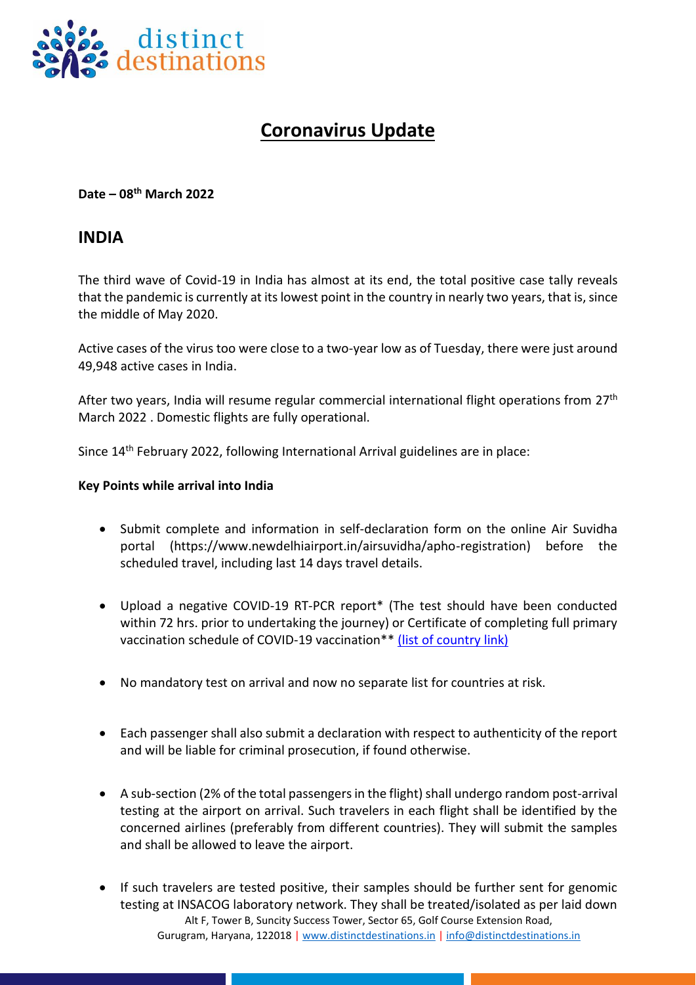

## **Coronavirus Update**

**Date – 08 th March 2022**

## **INDIA**

The third wave of Covid-19 in India has almost at its end, the total positive case tally reveals that the pandemic is currently at its lowest point in the country in nearly two years, that is, since the middle of May 2020.

Active cases of the virus too were close to a two-year low as of Tuesday, there were just around 49,948 active cases in India.

After two years, India will resume regular commercial international flight operations from 27<sup>th</sup> March 2022 . Domestic flights are fully operational.

Since 14th February 2022, following International Arrival guidelines are in place:

## **Key Points while arrival into India**

- Submit complete and information in self-declaration form on the online Air Suvidha portal (https://www.newdelhiairport.in/airsuvidha/apho-registration) before the scheduled travel, including last 14 days travel details.
- Upload a negative COVID-19 RT-PCR report\* (The test should have been conducted within 72 hrs. prior to undertaking the journey) or Certificate of completing full primary vaccination schedule of COVID-19 vaccination\*\* [\(list of country link\)](https://www.mohfw.gov.in/pdf/ListofCountriesRegionsinrespectofwhichprimaryvaccinationschedulecompletioncertificateisallowedtobeuploadedincontextofguidelinesforinternationalarrivalsupdatedon28thFebruary2022.pdf)
- No mandatory test on arrival and now no separate list for countries at risk.
- Each passenger shall also submit a declaration with respect to authenticity of the report and will be liable for criminal prosecution, if found otherwise.
- A sub-section (2% of the total passengers in the flight) shall undergo random post-arrival testing at the airport on arrival. Such travelers in each flight shall be identified by the concerned airlines (preferably from different countries). They will submit the samples and shall be allowed to leave the airport.
- Alt F, Tower B, Suncity Success Tower, Sector 65, Golf Course Extension Road, Gurugram, Haryana, 122018 | [www.distinctdestinations.in](http://www.distinctdestinations.in/) | [info@distinctdestinations.in](mailto:info@distinctdestinations.in) • If such travelers are tested positive, their samples should be further sent for genomic testing at INSACOG laboratory network. They shall be treated/isolated as per laid down